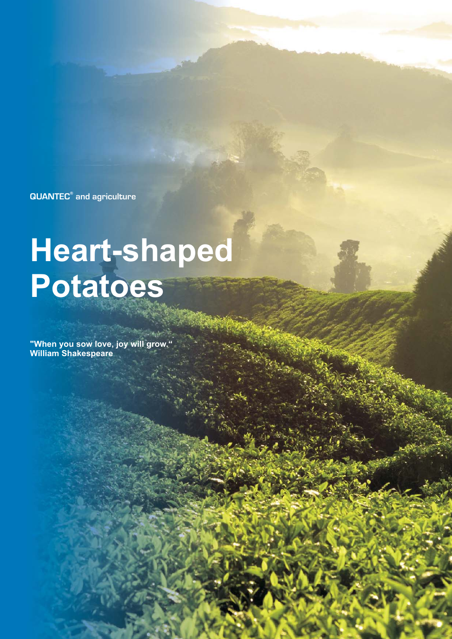**QUANTEC<sup>®</sup> and agriculture** 

# **Heart-shaped Potatoes**

**"When you sow love, joy will grow." William Shakespeare**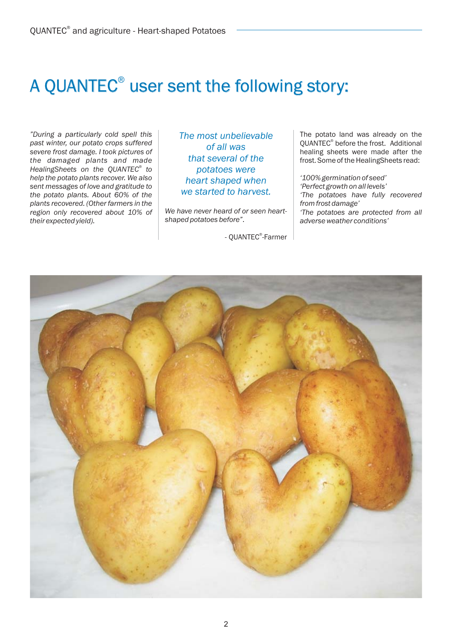# A QUANTEC $^{\circ}$  user sent the following story:

*"During a particularly cold spell this past winter, our potato crops suffered severe frost damage. I took pictures of the damaged plants and made HealingSheets on the QUANTEC® to help the potato plants recover. We also sent messages of love and gratitude to the potato plants. About 60% of the plants recovered. (Other farmers in the region only recovered about 10% of their expected yield).*

® *The most unbelievable of all was that several of the potatoes were heart shaped when we started to harvest.*

*We have never heard of or seen heartshaped potatoes before"* .

- QUANTEC<sup>®</sup>-Farmer

The potato land was already on the QUANTEC<sup>®</sup> before the frost. Additional healing sheets were made after the frost. Some of the HealingSheets read:

*'100% germination of seed' 'Perfect growth on all levels' 'The potatoes have fully recovered from frost damage' 'The potatoes are protected from all adverse weather conditions'*